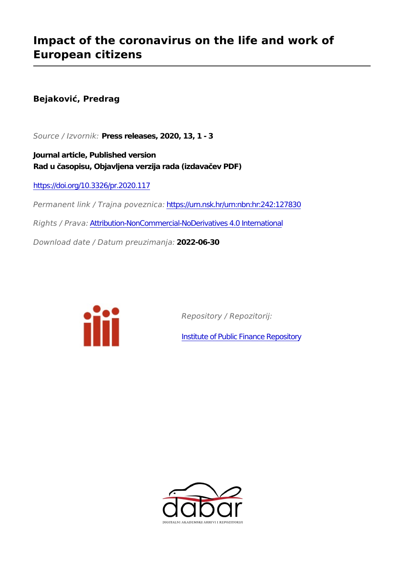## **Impact of the coronavirus on the life and work of European citizens**

**Bejaković, Predrag**

*Source / Izvornik:* **Press releases, 2020, 13, 1 - 3**

**Journal article, Published version Rad u časopisu, Objavljena verzija rada (izdavačev PDF)**

<https://doi.org/10.3326/pr.2020.117>

*Permanent link / Trajna poveznica:* <https://urn.nsk.hr/urn:nbn:hr:242:127830>

*Rights / Prava:* [Attribution-NonCommercial-NoDerivatives 4.0 International](http://creativecommons.org/licenses/by-nc-nd/4.0/)

*Download date / Datum preuzimanja:* **2022-06-30**



*Repository / Repozitorij:*

[Institute of Public Finance Repository](https://repozitorij.ijf.hr)

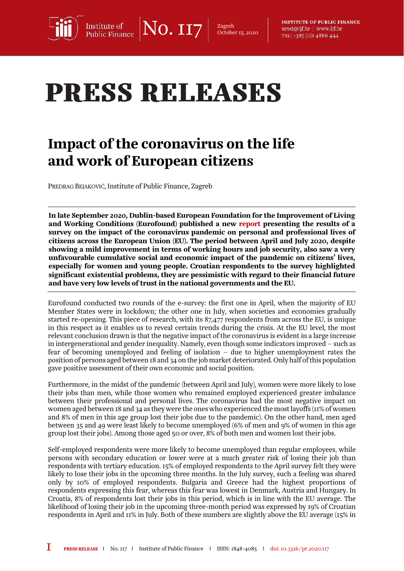$\text{No. II7}$   $\vert$   $\text{Zagreb}_{\text{October}}$ Institute of<br>Public Finance

October 15, 2020

**INSTITUTE OF PUBLIC FINANCE** ured@ijf.hr | www.ijf.hr TEL: +385 (O)I 4886 444

## **PRESS RELEASES**

## Impact of the coronavirus on the life and work of European citizens

PREDRAG BEJAKOVIĆ, Institute of Public Finance, Zagreb

In late September 2020, Dublin-based European Foundation for the Improvement of Living and Working Conditions (Eurofound) published a new [report](https://www.eurofound.europa.eu/sites/default/files/ef_publication/field_ef_document/ef20059en.pdf) presenting the results of a survey on the impact of the coronavirus pandemic on personal and professional lives of citizens across the European Union (EU). The period between April and July 2020, despite showing a mild improvement in terms of working hours and job security, also saw a very unfavourable cumulative social and economic impact of the pandemic on citizens' lives, especially for women and young people. Croatian respondents to the survey highlighted significant existential problems, they are pessimistic with regard to their financial future and have very low levels of trust in the national governments and the EU.

Eurofound conducted two rounds of the e-survey: the first one in April, when the majority of EU Member States were in lockdown; the other one in July, when societies and economies gradually started re-opening. This piece of research, with its 87,477 respondents from across the EU, is unique in this respect as it enables us to reveal certain trends during the crisis. At the EU level, the most relevant conclusion drawn is that the negative impact of the coronavirus is evident in a large increase in intergenerational and gender inequality. Namely, even though some indicators improved – such as fear of becoming unemployed and feeling of isolation – due to higher unemployment rates the position of persons aged between 18 and 34 on the job market deteriorated. Only half of this population gave positive assessment of their own economic and social position.

Furthermore, in the midst of the pandemic (between April and July), women were more likely to lose their jobs than men, while those women who remained employed experienced greater imbalance between their professional and personal lives. The coronavirus had the most negative impact on women aged between 18 and 34 as they were the ones who experienced the most layoffs (11% of women and 8% of men in this age group lost their jobs due to the pandemic). On the other hand, men aged between 35 and 49 were least likely to become unemployed (6% of men and 9% of women in this age group lost their jobs). Among those aged 50 or over, 8% of both men and women lost their jobs.

Self-employed respondents were more likely to become unemployed than regular employees, while persons with secondary education or lower were at a much greater risk of losing their job than respondents with tertiary education. 15% of employed respondents to the April survey felt they were likely to lose their jobs in the upcoming three months. In the July survey, such a feeling was shared only by 10% of employed respondents. Bulgaria and Greece had the highest proportions of respondents expressing this fear, whereas this fear was lowest in Denmark, Austria and Hungary. In Croatia, 8% of respondents lost their jobs in this period, which is in line with the EU average. The likelihood of losing their job in the upcoming three-month period was expressed by 19% of Croatian respondents in April and 11% in July. Both of these numbers are slightly above the EU average (15% in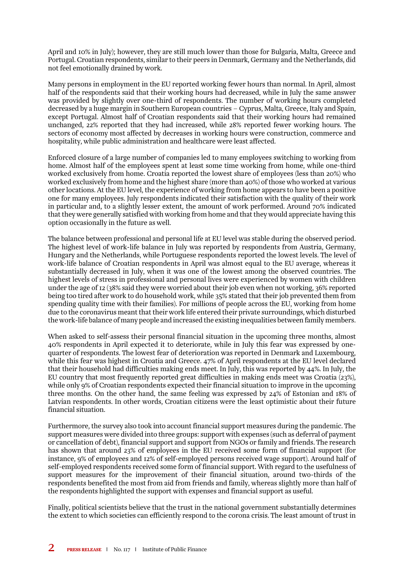April and 10% in July); however, they are still much lower than those for Bulgaria, Malta, Greece and Portugal. Croatian respondents, similar to their peers in Denmark, Germany and the Netherlands, did not feel emotionally drained by work.

Many persons in employment in the EU reported working fewer hours than normal. In April, almost half of the respondents said that their working hours had decreased, while in July the same answer was provided by slightly over one-third of respondents. The number of working hours completed decreased by a huge margin in Southern European countries – Cyprus, Malta, Greece, Italy and Spain, except Portugal. Almost half of Croatian respondents said that their working hours had remained unchanged, 22% reported that they had increased, while 28% reported fewer working hours. The sectors of economy most affected by decreases in working hours were construction, commerce and hospitality, while public administration and healthcare were least affected.

Enforced closure of a large number of companies led to many employees switching to working from home. Almost half of the employees spent at least some time working from home, while one-third worked exclusively from home. Croatia reported the lowest share of employees (less than 20%) who worked exclusively from home and the highest share (more than 40%) of those who worked at various other locations. At the EU level, the experience of working from home appears to have been a positive one for many employees. July respondents indicated their satisfaction with the quality of their work in particular and, to a slightly lesser extent, the amount of work performed. Around 70% indicated that they were generally satisfied with working from home and that they would appreciate having this option occasionally in the future as well.

The balance between professional and personal life at EU level was stable during the observed period. The highest level of work-life balance in July was reported by respondents from Austria, Germany, Hungary and the Netherlands, while Portuguese respondents reported the lowest levels. The level of work-life balance of Croatian respondents in April was almost equal to the EU average, whereas it substantially decreased in July, when it was one of the lowest among the observed countries. The highest levels of stress in professional and personal lives were experienced by women with children under the age of 12 (38% said they were worried about their job even when not working, 36% reported being too tired after work to do household work, while 35% stated that their job prevented them from spending quality time with their families). For millions of people across the EU, working from home due to the coronavirus meant that their work life entered their private surroundings, which disturbed the work-life balance of many people and increased the existing inequalities between family members.

When asked to self-assess their personal financial situation in the upcoming three months, almost 40% respondents in April expected it to deteriorate, while in July this fear was expressed by onequarter of respondents. The lowest fear of deterioration was reported in Denmark and Luxembourg, while this fear was highest in Croatia and Greece. 47% of April respondents at the EU level declared that their household had difficulties making ends meet. In July, this was reported by 44%. In July, the EU country that most frequently reported great difficulties in making ends meet was Croatia (23%), while only 9% of Croatian respondents expected their financial situation to improve in the upcoming three months. On the other hand, the same feeling was expressed by 24% of Estonian and 18% of Latvian respondents. In other words, Croatian citizens were the least optimistic about their future financial situation.

Furthermore, the survey also took into account financial support measures during the pandemic. The support measures were divided into three groups: support with expenses (such as deferral of payment or cancellation of debt), financial support and support from NGOs or family and friends. The research has shown that around 23% of employees in the EU received some form of financial support (for instance, 9% of employees and 12% of self-employed persons received wage support). Around half of self-employed respondents received some form of financial support. With regard to the usefulness of support measures for the improvement of their financial situation, around two-thirds of the respondents benefited the most from aid from friends and family, whereas slightly more than half of the respondents highlighted the support with expenses and financial support as useful.

Finally, political scientists believe that the trust in the national government substantially determines the extent to which societies can efficiently respond to the corona crisis. The least amount of trust in